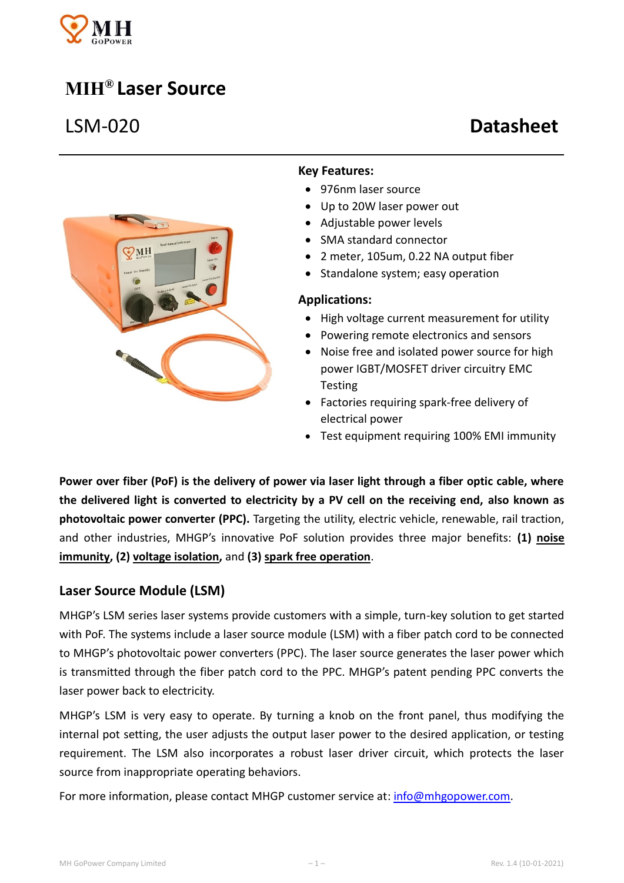

# **MIH® Laser Source**



#### **Key Features:**

- 976nm laser source
- Up to 20W laser power out
- Adjustable power levels
- SMA standard connector
- 2 meter, 105um, 0.22 NA output fiber
- Standalone system; easy operation

#### **Applications:**

- High voltage current measurement for utility
- Powering remote electronics and sensors
- Noise free and isolated power source for high power IGBT/MOSFET driver circuitry EMC **Testing**
- Factories requiring spark-free delivery of electrical power
- Test equipment requiring 100% EMI immunity

**Power over fiber (PoF) is the delivery of power via laser light through a fiber optic cable, where the delivered light is converted to electricity by a PV cell on the receiving end, also known as photovoltaic power converter (PPC).** Targeting the utility, electric vehicle, renewable, rail traction, and other industries, MHGP's innovative PoF solution provides three major benefits: **(1) noise immunity, (2) voltage isolation,** and **(3) spark free operation**.

## **Laser Source Module (LSM)**

MHGP's LSM series laser systems provide customers with a simple, turn-key solution to get started with PoF. The systems include a laser source module (LSM) with a fiber patch cord to be connected to MHGP's photovoltaic power converters (PPC). The laser source generates the laser power which is transmitted through the fiber patch cord to the PPC. MHGP's patent pending PPC converts the laser power back to electricity.

MHGP's LSM is very easy to operate. By turning a knob on the front panel, thus modifying the internal pot setting, the user adjusts the output laser power to the desired application, or testing requirement. The LSM also incorporates a robust laser driver circuit, which protects the laser source from inappropriate operating behaviors.

For more information, please contact MHGP customer service at[: info@mhgopower.com.](mailto:info@mhgopower.com)